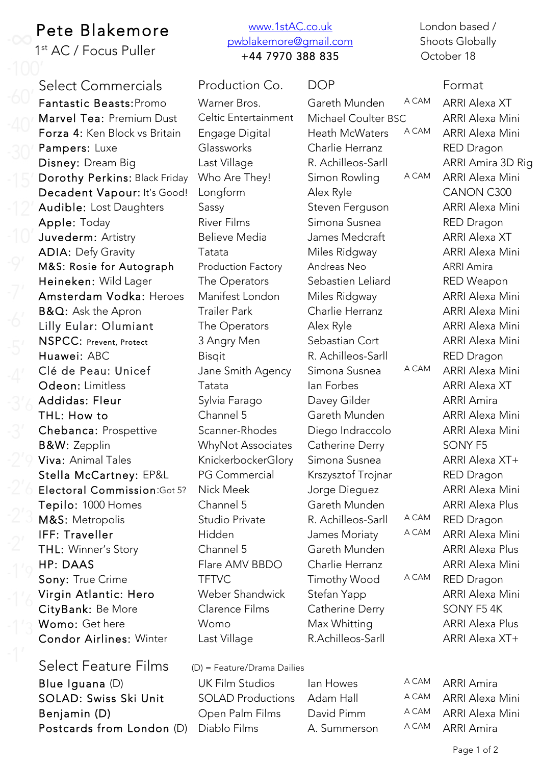## Pete Blakemore

1st AC / Focus Puller

Select Commercials Production Co. DOP Format Fantastic Beasts: Promo Warner Bros. Gareth Munden A CAM ARRI Alexa XT Marvel Tea: Premium Dust Celtic Entertainment Michael Coulter BSC ARRI Alexa Mini Forza 4: Ken Block vs Britain Engage Digital Heath McWaters A CAM ARRI Alexa Mini Pampers: Luxe Glassworks Charlie Herranz RED Dragon Disney: Dream Big Last Village R. Achilleos-Sarll ARRI Amira 3D Rig Dorothy Perkins: Black Friday Who Are They! Simon Rowling A CAM ARRI Alexa Mini Decadent Vapour: It's Good! Longform Alex Ryle CANON C300 Audible: Lost Daughters Sassy Sassy Steven Ferguson ARRI Alexa Mini Apple: Today **River Films** Simona Susnea RED Dragon Juvederm: Artistry **Believe Media** James Medcraft ARRI Alexa XT ADIA: Defy Gravity **Tatata** Miles Ridgway ARRI Alexa Mini M&S: Rosie for Autograph Production Factory Andreas Neo ARRI Amira Heineken: Wild Lager The Operators Sebastien Leliard RED Weapon Amsterdam Vodka: Heroes Manifest London Miles Ridgway ARRI Alexa Mini **B&Q:** Ask the Apron Trailer Park Charlie Herranz ARRI Alexa Mini Lilly Eular: Olumiant The Operators Alex Ryle ARRI Alexa Mini NSPCC: Prevent, Protect 3 Angry Men Sebastian Cort ARRI Alexa Mini Huawei: ABC Bisqit Bisqit R. Achilleos-Sarll RED Dragon Clé de Peau: Unicef Jane Smith Agency Simona Susnea A CAM ARRI Alexa Mini Odeon: Limitless Tatata Ian Forbes ARRI Alexa XT Addidas: Fleur Sylvia Farago Davey Gilder ARRI Amira THL: How to Channel 5 Gareth Munden ARRI Alexa Mini Chebanca: Prospettive Scanner-Rhodes Diego Indraccolo ARRI Alexa Mini B&W: Zepplin WhyNot Associates Catherine Derry SONY F5 Viva: Animal Tales KnickerbockerGlory Simona Susnea ARRI Alexa XT+ Stella McCartney: EP&L PG Commercial Krszysztof Trojnar RED Dragon Electoral Commission:Got 5? Nick Meek Jorge Dieguez ARRI Alexa Mini Tepilo: 1000 Homes Channel 5 Gareth Munden ARRI Alexa Plus M&S: Metropolis Studio Private R. Achilleos-Sarll A CAM RED Dragon IFF: Traveller **Hidden** Hidden James Moriaty A CAM ARRI Alexa Mini THL: Winner's Story **Channel 5** Gareth Munden ARRI Alexa Plus HP: DAAS Flare AMV BBDO Charlie Herranz ARRI Alexa Mini Sony: True Crime TFTVC Timothy Wood A CAM RED Dragon Virgin Atlantic: Hero Weber Shandwick Stefan Yapp ARRI Alexa Mini CityBank: Be More Clarence Films Catherine Derry SONY F5 4K Womo: Get here Womo Max Whitting ARRI Alexa Plus Condor Airlines: Winter

Blue Iguana (D) **UK Film Studios** Ian Howes A CAM ARRI Amira SOLAD: Swiss Ski Unit SOLAD Productions Adam Hall A CAM ARRI Alexa Mini Benjamin (D) Chen Palm Films David Pimm A CAM ARRI Alexa Mini Postcards from London (D) Diablo Films A. Summerson A CAM ARRI Amira

## www.1stAC.co.uk pwblakemore@gmail.com +44 7970 388 835

Last Village **R.Achilleos-Sarll** ARRI Alexa XT+

London based / Shoots Globally October 18

Select Feature Films (D) = Feature/Drama Dailies